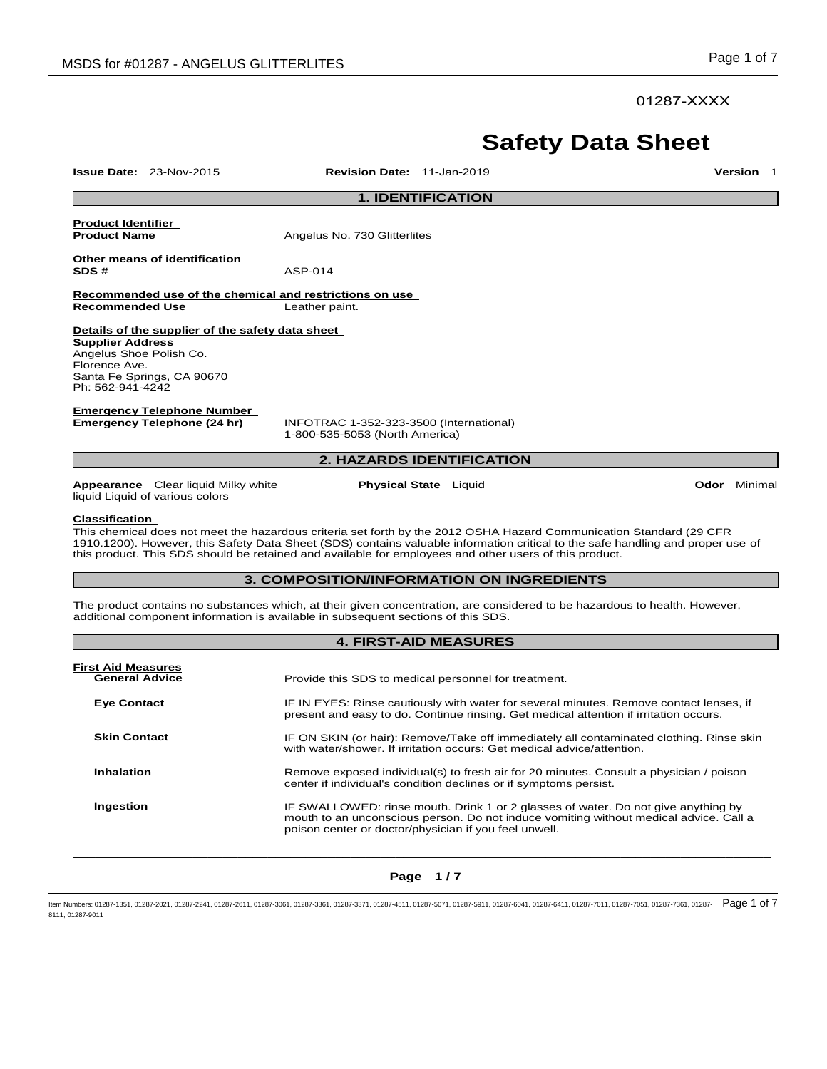01287-XXXX

# **Safety Data Sheet**

**Issue Date:** 23-Nov-2015 **Revision Date:** 11-Jan-2019 **Version** 1 **1. IDENTIFICATION Product Identifier Angelus No. 730 Glitterlites Other means of identification SDS #** ASP-014 **Recommended use of the chemical and restrictions on use Recommended Use** Leather paint. **Details of the supplier of the safety data sheet Supplier Address** Angelus Shoe Polish Co. Florence Ave. Santa Fe Springs, CA 90670 Ph: 562-941-4242 **Emergency Telephone Number Emergency Telephone (24 hr)** INFOTRAC 1-352-323-3500 (International) 1-800-535-5053 (North America) **2. HAZARDS IDENTIFICATION Appearance** Clear liquid Milky white liquid Liquid of various colors **Physical State** Liquid **Odor** Minimal **Classification**  This chemical does not meet the hazardous criteria set forth by the 2012 OSHA Hazard Communication Standard (29 CFR 1910.1200). However, this Safety Data Sheet (SDS) contains valuable information critical to the safe handling and proper use of this product. This SDS should be retained and available for employees and other users of this product. **3. COMPOSITION/INFORMATION ON INGREDIENTS** The product contains no substances which, at their given concentration, are considered to be hazardous to health. However, additional component information is available in subsequent sections of this SDS. **4. FIRST-AID MEASURES First Aid Measures General Advice** Provide this SDS to medical personnel for treatment. **Eye Contact** IF IN EYES: Rinse cautiously with water for several minutes. Remove contact lenses, if present and easy to do. Continue rinsing. Get medical attention if irritation occurs.

**Skin Contact IF ON SKIN (or hair): Remove/Take off immediately all contaminated clothing. Rinse skin** 

**Inhalation Remove exposed individual(s) to fresh air for 20 minutes. Consult a physician / poison** 

**Ingestion IF SWALLOWED:** rinse mouth. Drink 1 or 2 glasses of water. Do not give anything by mouth to an unconscious person. Do not induce vomiting without medical advice. Call a poison center or doctor/physician if you feel unwell.

with water/shower. If irritation occurs: Get medical advice/attention.

center if individual's condition declines or if symptoms persist.

 $\Box$  . The contribution of the contribution of the contribution of the contribution of the contribution of the contribution of the contribution of the contribution of the contribution of the contribution of the contributi **Page 1 / 7** 

ltem Numbers: 01287-1351, 01287-2021, 01287-2241, 01287-2611, 01287-3061, 01287-3361, 01287-3361, 01287-5041, 01287-5911, 01287-6041, 01287-6041, 01287-6411, 01287-6411, 01287-7011, 01287-7011, 01287-7051, 01287-7561, 0128 8111, 01287-9011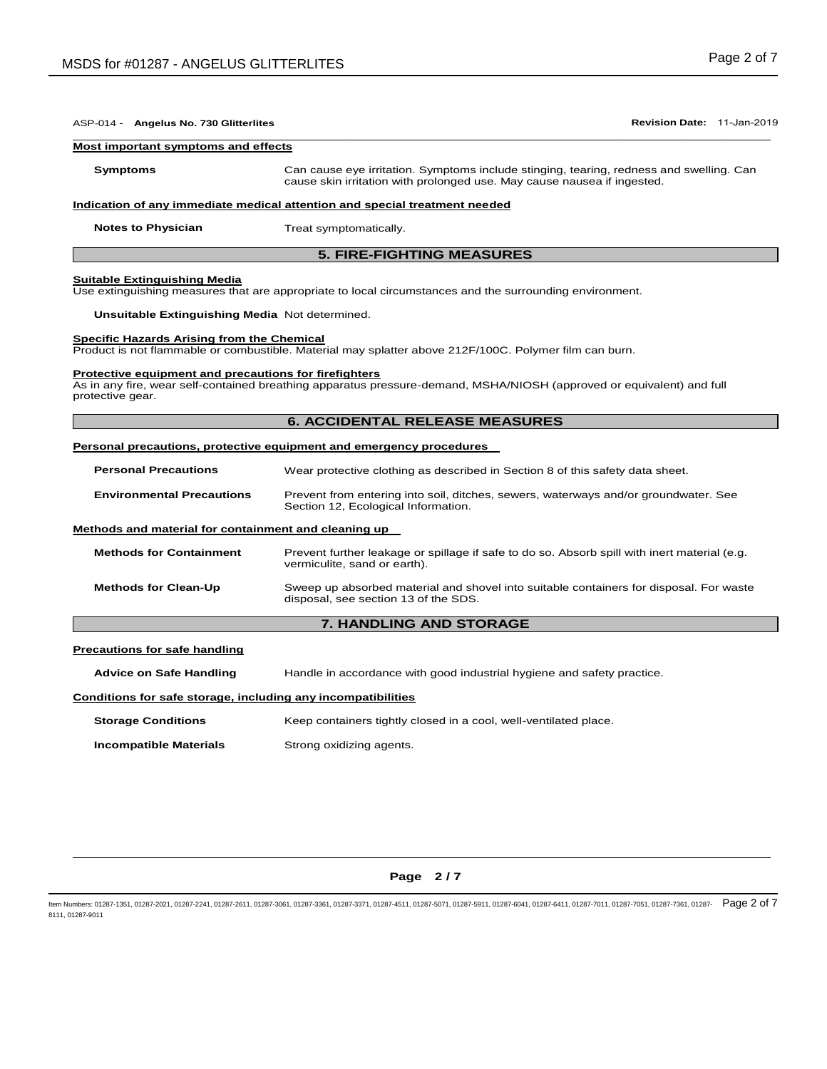| ASP-014 - Angelus No. 730 Glitterlites                                    | Revision Date: 11-Jan-2019                                                                                                                                         |  |  |  |
|---------------------------------------------------------------------------|--------------------------------------------------------------------------------------------------------------------------------------------------------------------|--|--|--|
| Most important symptoms and effects                                       |                                                                                                                                                                    |  |  |  |
| <b>Symptoms</b>                                                           | Can cause eye irritation. Symptoms include stinging, tearing, redness and swelling. Can<br>cause skin irritation with prolonged use. May cause nausea if ingested. |  |  |  |
|                                                                           | Indication of any immediate medical attention and special treatment needed                                                                                         |  |  |  |
| <b>Notes to Physician</b>                                                 | Treat symptomatically.                                                                                                                                             |  |  |  |
|                                                                           | <b>5. FIRE-FIGHTING MEASURES</b>                                                                                                                                   |  |  |  |
| <b>Suitable Extinguishing Media</b>                                       | Use extinguishing measures that are appropriate to local circumstances and the surrounding environment.                                                            |  |  |  |
| Unsuitable Extinguishing Media Not determined.                            |                                                                                                                                                                    |  |  |  |
| Specific Hazards Arising from the Chemical                                | Product is not flammable or combustible. Material may splatter above 212F/100C. Polymer film can burn.                                                             |  |  |  |
| Protective equipment and precautions for firefighters<br>protective gear. | As in any fire, wear self-contained breathing apparatus pressure-demand, MSHA/NIOSH (approved or equivalent) and full                                              |  |  |  |
|                                                                           | <b>6. ACCIDENTAL RELEASE MEASURES</b>                                                                                                                              |  |  |  |
|                                                                           | <b>Personal precautions, protective equipment and emergency procedures</b>                                                                                         |  |  |  |
| <b>Personal Precautions</b>                                               | Wear protective clothing as described in Section 8 of this safety data sheet.                                                                                      |  |  |  |
| <b>Environmental Precautions</b>                                          | Prevent from entering into soil, ditches, sewers, waterways and/or groundwater. See<br>Section 12, Ecological Information.                                         |  |  |  |
| Methods and material for containment and cleaning up                      |                                                                                                                                                                    |  |  |  |
| <b>Methods for Containment</b>                                            | Prevent further leakage or spillage if safe to do so. Absorb spill with inert material (e.g.<br>vermiculite, sand or earth).                                       |  |  |  |
| <b>Methods for Clean-Up</b>                                               | Sweep up absorbed material and shovel into suitable containers for disposal. For waste<br>disposal, see section 13 of the SDS.                                     |  |  |  |
|                                                                           | <b>7. HANDLING AND STORAGE</b>                                                                                                                                     |  |  |  |
| <b>Precautions for safe handling</b>                                      |                                                                                                                                                                    |  |  |  |
| <b>Advice on Safe Handling</b>                                            | Handle in accordance with good industrial hygiene and safety practice.                                                                                             |  |  |  |
| Conditions for safe storage, including any incompatibilities              |                                                                                                                                                                    |  |  |  |
| <b>Storage Conditions</b>                                                 | Keep containers tightly closed in a cool, well-ventilated place.                                                                                                   |  |  |  |
| <b>Incompatible Materials</b>                                             | Strong oxidizing agents.                                                                                                                                           |  |  |  |

# $\Box$  . The contribution of the contribution of the contribution of the contribution of the contribution of the contribution of the contribution of the contribution of the contribution of the contribution of the contributi **Page 2 / 7**

ltem Numbers: 01287-1351, 01287-2021, 01287-2241, 01287-2611, 01287-3061, 01287-3361, 01287-3361, 01287-5041, 01287-5911, 01287-6041, 01287-6041, 01287-6411, 01287-6411, 01287-7011, 01287-7011, 01287-7051, 01287-7561, 0128 8111, 01287-9011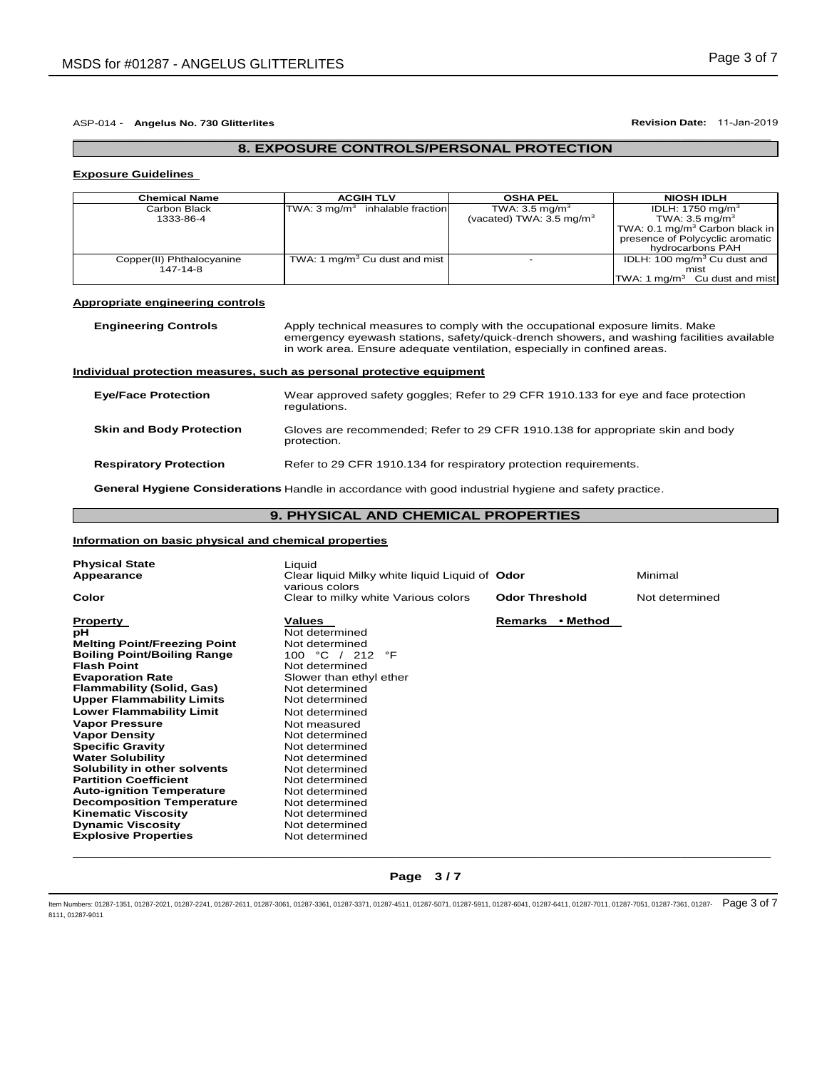## ASP-014 - **Angelus No. 730 Glitterlites Revision Date:** 11-Jan-2019

# \_\_\_\_\_\_\_\_\_\_\_\_\_\_\_\_\_\_\_\_\_\_\_\_\_\_\_\_\_\_\_\_\_\_\_\_\_\_\_\_\_\_\_\_\_\_\_\_\_\_\_\_\_\_\_\_\_\_\_\_\_\_\_\_\_\_\_\_\_\_\_\_\_\_\_\_\_\_\_\_\_\_\_\_\_\_\_\_\_\_\_\_\_

# **8. EXPOSURE CONTROLS/PERSONAL PROTECTION**

# **Exposure Guidelines**

| <b>Chemical Name</b>      | <b>ACGIH TLV</b>                            | <b>OSHA PEL</b>                     | <b>NIOSH IDLH</b>                          |
|---------------------------|---------------------------------------------|-------------------------------------|--------------------------------------------|
| Carbon Black              | TWA: 3 mg/m <sup>3</sup> inhalable fraction | TWA: $3.5 \text{ mg/m}^3$           | IDLH: 1750 mg/m <sup>3</sup>               |
| 1333-86-4                 |                                             | (vacated) TWA: $3.5 \text{ mg/m}^3$ | TWA: $3.5 \text{ mg/m}^3$                  |
|                           |                                             |                                     | TWA: 0.1 mg/m <sup>3</sup> Carbon black in |
|                           |                                             |                                     | presence of Polycyclic aromatic            |
|                           |                                             |                                     | hydrocarbons PAH                           |
| Copper(II) Phthalocyanine | TWA: 1 mg/m <sup>3</sup> Cu dust and mist   | $\overline{\phantom{a}}$            | IDLH: 100 mg/m <sup>3</sup> Cu dust and    |
| 147-14-8                  |                                             |                                     | mist                                       |
|                           |                                             |                                     | TWA: 1 mg/m <sup>3</sup> Cu dust and mist  |

### **Appropriate engineering controls**

**Engineering Controls** Apply technical measures to comply with the occupational exposure limits. Make emergency eyewash stations, safety/quick-drench showers, and washing facilities available in work area. Ensure adequate ventilation, especially in confined areas.

## **Individual protection measures, such as personal protective equipment**

| <b>Eye/Face Protection</b>      | Wear approved safety goggles; Refer to 29 CFR 1910.133 for eye and face protection<br>regulations. |
|---------------------------------|----------------------------------------------------------------------------------------------------|
| <b>Skin and Body Protection</b> | Gloves are recommended; Refer to 29 CFR 1910.138 for appropriate skin and body<br>protection.      |
| <b>Respiratory Protection</b>   | Refer to 29 CFR 1910.134 for respiratory protection requirements.                                  |

**General Hygiene Considerations** Handle in accordance with good industrial hygiene and safety practice.

# **9. PHYSICAL AND CHEMICAL PROPERTIES**

### **Information on basic physical and chemical properties**

| <b>Physical State</b><br>Appearance<br>Color                                                                                                                                                                                                                                                                                                                                                                                                                                                                                         | Liquid<br>Clear liquid Milky white liquid Liquid of Odor<br>various colors<br>Clear to milky white Various colors                                                                                                                                                                                                                          | <b>Odor Threshold</b> | Minimal<br>Not determined |
|--------------------------------------------------------------------------------------------------------------------------------------------------------------------------------------------------------------------------------------------------------------------------------------------------------------------------------------------------------------------------------------------------------------------------------------------------------------------------------------------------------------------------------------|--------------------------------------------------------------------------------------------------------------------------------------------------------------------------------------------------------------------------------------------------------------------------------------------------------------------------------------------|-----------------------|---------------------------|
|                                                                                                                                                                                                                                                                                                                                                                                                                                                                                                                                      |                                                                                                                                                                                                                                                                                                                                            |                       |                           |
| <b>Property</b><br>рH<br><b>Melting Point/Freezing Point</b><br><b>Boiling Point/Boiling Range</b><br><b>Flash Point</b><br><b>Evaporation Rate</b><br>Flammability (Solid, Gas)<br><b>Upper Flammability Limits</b><br><b>Lower Flammability Limit</b><br><b>Vapor Pressure</b><br><b>Vapor Density</b><br><b>Specific Gravity</b><br><b>Water Solubility</b><br>Solubility in other solvents<br><b>Partition Coefficient</b><br><b>Auto-ignition Temperature</b><br><b>Decomposition Temperature</b><br><b>Kinematic Viscosity</b> | <b>Values</b><br>Not determined<br>Not determined<br>100 °C / 212<br>°F<br>Not determined<br>Slower than ethyl ether<br>Not determined<br>Not determined<br>Not determined<br>Not measured<br>Not determined<br>Not determined<br>Not determined<br>Not determined<br>Not determined<br>Not determined<br>Not determined<br>Not determined | • Method<br>Remarks   |                           |
| <b>Dynamic Viscosity</b><br><b>Explosive Properties</b>                                                                                                                                                                                                                                                                                                                                                                                                                                                                              | Not determined<br>Not determined                                                                                                                                                                                                                                                                                                           |                       |                           |

# $\Box$  . The contribution of the contribution of the contribution of the contribution of the contribution of the contribution of the contribution of the contribution of the contribution of the contribution of the contributi **Page 3 / 7**

ltem Numbers: 01287-1351, 01287-2021, 01287-2241, 01287-2611, 01287-3061, 01287-3361, 01287-3361, 01287-6141, 01287-5911, 01287-6041, 01287-6411, 01287-6411, 01287-6411, 01287-7011, 01287-7011, 01287-7051, 01287-7561, 0128 8111, 01287-9011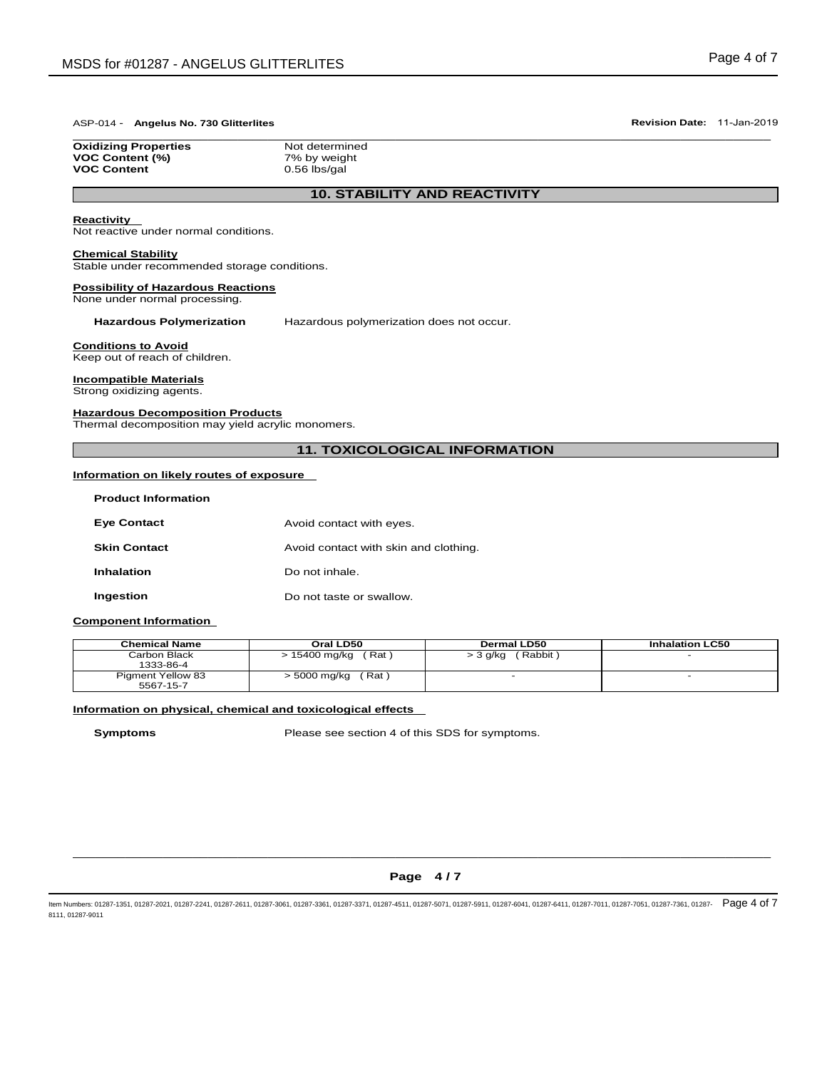### ASP-014 - **Angelus No. 730 Glitterlites Revision Date:** 11-Jan-2019 \_\_\_\_\_\_\_\_\_\_\_\_\_\_\_\_\_\_\_\_\_\_\_\_\_\_\_\_\_\_\_\_\_\_\_\_\_\_\_\_\_\_\_\_\_\_\_\_\_\_\_\_\_\_\_\_\_\_\_\_\_\_\_\_\_\_\_\_\_\_\_\_\_\_\_\_\_\_\_\_\_\_\_\_\_\_\_\_\_\_\_\_\_

**Oxidizing Properties Not determined VOC Content (%)** 7% by weight **VOC Content** 0.56 lbs/gal

# **10. STABILITY AND REACTIVITY**

# **Reactivity**

Not reactive under normal conditions.

### **Chemical Stability**

Stable under recommended storage conditions.

### **Possibility of Hazardous Reactions**

None under normal processing.

**Hazardous Polymerization** Hazardous polymerization does not occur.

### **Conditions to Avoid**

Keep out of reach of children.

## **Incompatible Materials**

Strong oxidizing agents.

### **Hazardous Decomposition Products**

Thermal decomposition may yield acrylic monomers.

# **11. TOXICOLOGICAL INFORMATION**

## **Information on likely routes of exposure**

| <b>Product Information</b> |                                       |
|----------------------------|---------------------------------------|
| <b>Eye Contact</b>         | Avoid contact with eyes.              |
| <b>Skin Contact</b>        | Avoid contact with skin and clothing. |
| <b>Inhalation</b>          | Do not inhale.                        |
| Ingestion                  | Do not taste or swallow.              |

# **Component Information**

| <b>Chemical Name</b>                  | Oral LD50              | <b>Dermal LD50</b>  | <b>Inhalation LC50</b> |
|---------------------------------------|------------------------|---------------------|------------------------|
| Carbon Black<br>1333-86-4             | (Rat)<br>> 15400 mg/kg | Rabbit)<br>> 3 g/kg | -                      |
| <b>Pigment Yellow 83</b><br>5567-15-7 | (Rat)<br>> 5000 mg/kg  |                     |                        |

### **Information on physical, chemical and toxicological effects**

**Symptoms** Please see section 4 of this SDS for symptoms.

# $\Box$  . The contribution of the contribution of the contribution of the contribution of the contribution of the contribution of the contribution of the contribution of the contribution of the contribution of the contributi **Page 4 / 7**

ltem Numbers: 01287-1351, 01287-2021, 01287-2241, 01287-2611, 01287-3061, 01287-3361, 01287-3361, 01287-501, 01287-5011, 01287-6041, 01287-6041, 01287-6411, 01287-6411, 01287-6411, 01287-7011, 01287-7051, 01287-7561, 01287 8111, 01287-9011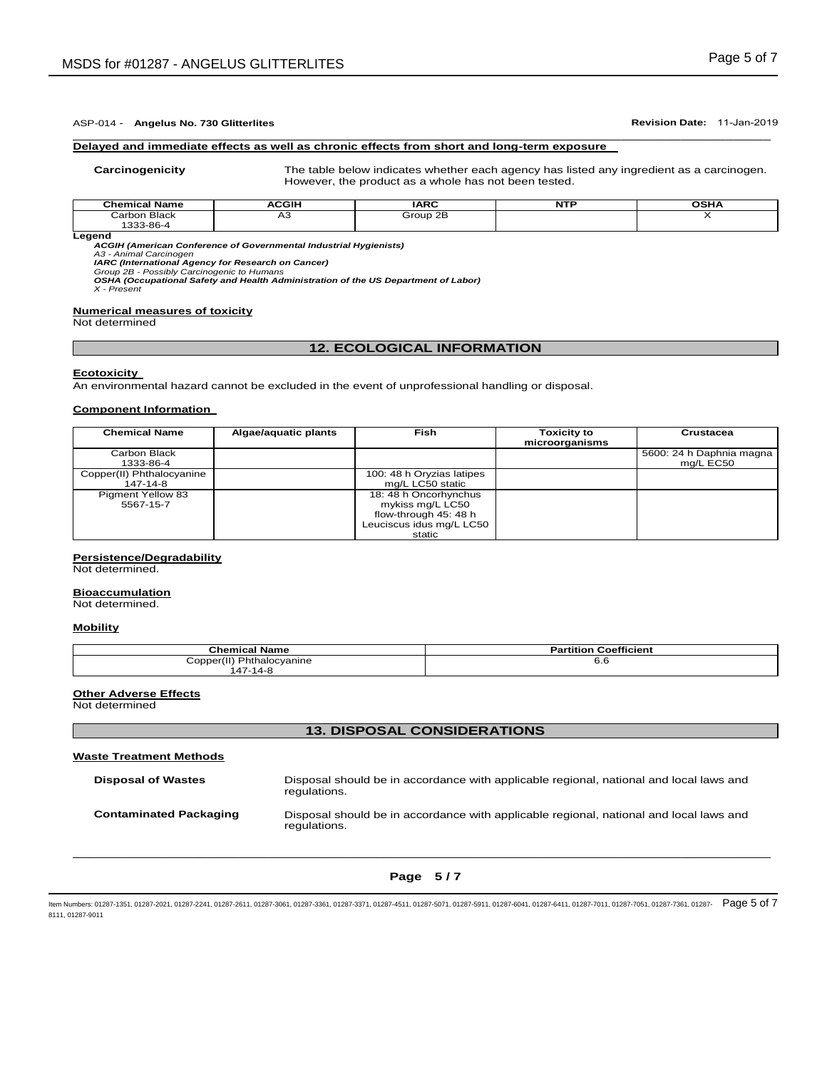### ASP-014 - **Angelus No. 730 Glitterlites Revision Date:** 11-Jan-2019 \_\_\_\_\_\_\_\_\_\_\_\_\_\_\_\_\_\_\_\_\_\_\_\_\_\_\_\_\_\_\_\_\_\_\_\_\_\_\_\_\_\_\_\_\_\_\_\_\_\_\_\_\_\_\_\_\_\_\_\_\_\_\_\_\_\_\_\_\_\_\_\_\_\_\_\_\_\_\_\_\_\_\_\_\_\_\_\_\_\_\_\_\_

### **Delayed and immediate effects as well as chronic effects from short and long-term exposure**

**Carcinogenicity** The table below indicates whether each agency has listed any ingredient as a carcinogen. However, the product as a whole has not been tested.

| <b>Chemical Name</b> | <b>ACGIH</b> | <b>IARC</b> | NTF | OSH/ |
|----------------------|--------------|-------------|-----|------|
| Carbon Black         | ∼∽           | Group 2B    |     |      |
| 1333-86-4            |              |             |     |      |
| Leaend               |              |             |     |      |

*ACGIH (American Conference of Governmental Industrial Hygienists)*

*A3 - Animal Carcinogen* 

*IARC (International Agency for Research on Cancer) Group 2B - Possibly Carcinogenic to Humans* 

*OSHA (Occupational Safety and Health Administration of the US Department of Labor) X - Present* 

### **Numerical measures of toxicity**

Not determined

## **12. ECOLOGICAL INFORMATION**

### **Ecotoxicity**

An environmental hazard cannot be excluded in the event of unprofessional handling or disposal.

### **Component Information**

| <b>Chemical Name</b>      | Algae/aquatic plants | Fish                      | <b>Toxicity to</b> | Crustacea                |
|---------------------------|----------------------|---------------------------|--------------------|--------------------------|
|                           |                      |                           | microorganisms     |                          |
| Carbon Black              |                      |                           |                    | 5600: 24 h Daphnia magna |
| 1333-86-4                 |                      |                           |                    | mg/L EC50                |
| Copper(II) Phthalocyanine |                      | 100: 48 h Oryzias latipes |                    |                          |
| 147-14-8                  |                      | mg/L LC50 static          |                    |                          |
| <b>Pigment Yellow 83</b>  |                      | 18: 48 h Oncorhynchus     |                    |                          |
| 5567-15-7                 |                      | mykiss mg/L LC50          |                    |                          |
|                           |                      | flow-through 45: 48 h     |                    |                          |
|                           |                      | Leuciscus idus mg/L LC50  |                    |                          |
|                           |                      | static                    |                    |                          |

### **Persistence/Degradability**

Not determined.

### **Bioaccumulation**

Not determined.

## **Mobility**

| <b>Chemical Name</b>      | <b>Partition Coefficient</b> |
|---------------------------|------------------------------|
| Copper(II) Phthalocyanine | o.o                          |
| 47-14-8                   |                              |

### **Other Adverse Effects**

Not determined

### **13. DISPOSAL CONSIDERATIONS**

# **Waste Treatment Methods Disposal of Wastes** Disposal should be in accordance with applicable regional, national and local laws and regulations. **Contaminated Packaging** Disposal should be in accordance with applicable regional, national and local laws and regulations.

# $\Box$  . The contribution of the contribution of the contribution of the contribution of the contribution of the contribution of the contribution of the contribution of the contribution of the contribution of the contributi **Page 5 / 7**

ltem Numbers: 01287-1351, 01287-2021, 01287-2241, 01287-2611, 01287-3061, 01287-3361, 01287-3361, 01287-6141, 01287-5911, 01287-6041, 01287-6041, 01287-6411, 01287-6411, 01287-7011, 01287-7011, 01287-7051, 01287-7561, 0128 8111, 01287-9011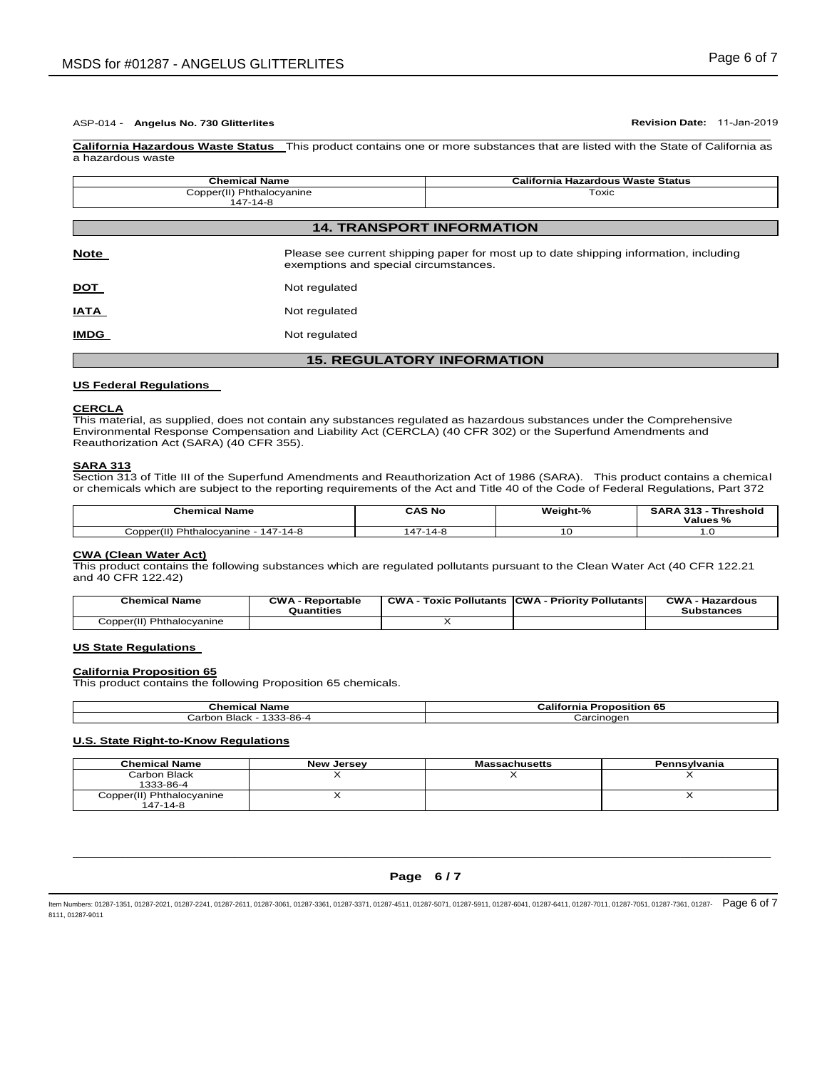**IMDG** Not regulated

**California Hazardous Waste Status** This product contains one or more substances that are listed with the State of California as a hazardous waste

|                                       | <b>Chemical Name</b>                  | <b>California Hazardous Waste Status</b>                                              |
|---------------------------------------|---------------------------------------|---------------------------------------------------------------------------------------|
| Copper(II) Phthalocyanine<br>147-14-8 |                                       | Toxic                                                                                 |
|                                       |                                       |                                                                                       |
|                                       | <b>14. TRANSPORT INFORMATION</b>      |                                                                                       |
| <b>Note</b>                           | exemptions and special circumstances. | Please see current shipping paper for most up to date shipping information, including |
| <u>DOT</u>                            | Not regulated                         |                                                                                       |
| <u>IATA</u>                           | Not regulated                         |                                                                                       |

# **15. REGULATORY INFORMATION**

### **US Federal Regulations**

### **CERCLA**

This material, as supplied, does not contain any substances regulated as hazardous substances under the Comprehensive Environmental Response Compensation and Liability Act (CERCLA) (40 CFR 302) or the Superfund Amendments and Reauthorization Act (SARA) (40 CFR 355).

### **SARA 313**

Section 313 of Title III of the Superfund Amendments and Reauthorization Act of 1986 (SARA). This product contains a chemical or chemicals which are subject to the reporting requirements of the Act and Title 40 of the Code of Federal Regulations, Part 372

| <b>Chemical Name</b>                     | CAS No      | Weight-% | <b>SARA 313</b><br>Threshold<br>Values % |
|------------------------------------------|-------------|----------|------------------------------------------|
| Phthalocyanine<br>147-14-8<br>Copper(II) | 47<br>14-8۰ | ◡        | . .                                      |

### **CWA (Clean Water Act)**

This product contains the following substances which are regulated pollutants pursuant to the Clean Water Act (40 CFR 122.21 and 40 CFR 122.42)

| <b>Chemical Name</b>      | <b>CWA - Reportable</b><br>Quantities | <b>CWA</b><br><b>Toxic Pollutants</b> | <b>CWA - Priority Pollutants</b> | <b>CWA - Hazardous</b><br><b>Substances</b> |
|---------------------------|---------------------------------------|---------------------------------------|----------------------------------|---------------------------------------------|
| Copper(II) Phthalocyanine |                                       |                                       |                                  |                                             |

### **US State Regulations**

### **California Proposition 65**

This product contains the following Proposition 65 chemicals.

| Chemical<br>Name             | California<br>$\sim$<br>roposition 65<br>╍. |
|------------------------------|---------------------------------------------|
| 333-86-4<br>Black<br>∴arbon. | Carcinogen                                  |

## **U.S. State Right-to-Know Regulations**

| <b>Chemical Name</b>      | <b>New Jersey</b> | <b>Massachusetts</b> | Pennsvlvania |
|---------------------------|-------------------|----------------------|--------------|
| Carbon Black              |                   |                      |              |
| 1333-86-4                 |                   |                      |              |
| Copper(II) Phthalocyanine |                   |                      |              |
| 147-14-8                  |                   |                      |              |

# $\Box$  . The contribution of the contribution of the contribution of the contribution of the contribution of the contribution of the contribution of the contribution of the contribution of the contribution of the contributi **Page 6 / 7**

ltem Numbers: 01287-1351, 01287-2021, 01287-2241, 01287-2611, 01287-3061, 01287-3361, 01287-3361, 01287-501, 01287-5011, 01287-6041, 01287-6041, 01287-6411, 01287-6411, 01287-7011, 01287-7011, 01287-7051, 01287-7561, 01287 8111, 01287-9011